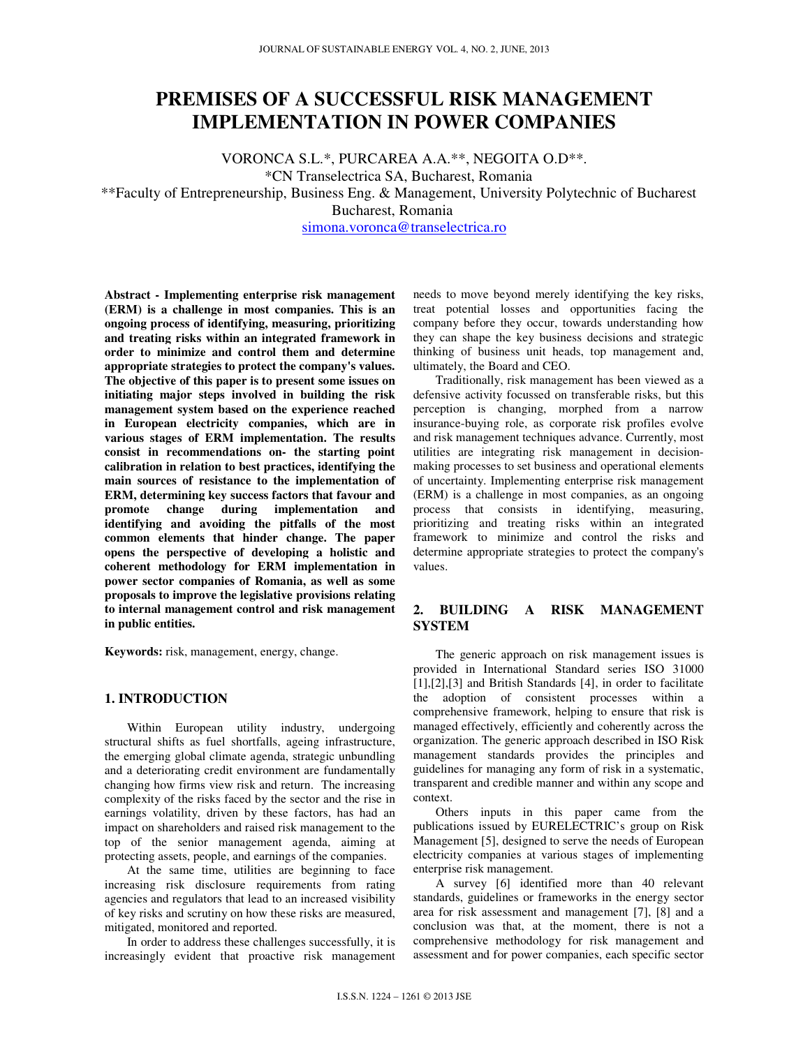# **PREMISES OF A SUCCESSFUL RISK MANAGEMENT IMPLEMENTATION IN POWER COMPANIES**

VORONCA S.L.\*, PURCAREA A.A.\*\*, NEGOITA O.D\*\*. \*CN Transelectrica SA, Bucharest, Romania \*\*Faculty of Entrepreneurship, Business Eng. & Management, University Polytechnic of Bucharest Bucharest, Romania simona.voronca@transelectrica.ro

**Abstract - Implementing enterprise risk management (ERM) is a challenge in most companies. This is an ongoing process of identifying, measuring, prioritizing and treating risks within an integrated framework in order to minimize and control them and determine appropriate strategies to protect the company's values. The objective of this paper is to present some issues on initiating major steps involved in building the risk management system based on the experience reached in European electricity companies, which are in various stages of ERM implementation. The results consist in recommendations on- the starting point calibration in relation to best practices, identifying the main sources of resistance to the implementation of ERM, determining key success factors that favour and promote change during implementation and identifying and avoiding the pitfalls of the most common elements that hinder change. The paper opens the perspective of developing a holistic and coherent methodology for ERM implementation in power sector companies of Romania, as well as some proposals to improve the legislative provisions relating to internal management control and risk management in public entities.** 

**Keywords:** risk, management, energy, change.

# **1. INTRODUCTION**

Within European utility industry, undergoing structural shifts as fuel shortfalls, ageing infrastructure, the emerging global climate agenda, strategic unbundling and a deteriorating credit environment are fundamentally changing how firms view risk and return. The increasing complexity of the risks faced by the sector and the rise in earnings volatility, driven by these factors, has had an impact on shareholders and raised risk management to the top of the senior management agenda, aiming at protecting assets, people, and earnings of the companies.

At the same time, utilities are beginning to face increasing risk disclosure requirements from rating agencies and regulators that lead to an increased visibility of key risks and scrutiny on how these risks are measured, mitigated, monitored and reported.

In order to address these challenges successfully, it is increasingly evident that proactive risk management needs to move beyond merely identifying the key risks, treat potential losses and opportunities facing the company before they occur, towards understanding how they can shape the key business decisions and strategic thinking of business unit heads, top management and, ultimately, the Board and CEO.

Traditionally, risk management has been viewed as a defensive activity focussed on transferable risks, but this perception is changing, morphed from a narrow insurance-buying role, as corporate risk profiles evolve and risk management techniques advance. Currently, most utilities are integrating risk management in decisionmaking processes to set business and operational elements of uncertainty. Implementing enterprise risk management (ERM) is a challenge in most companies, as an ongoing process that consists in identifying, measuring, prioritizing and treating risks within an integrated framework to minimize and control the risks and determine appropriate strategies to protect the company's values.

# **2. BUILDING A RISK MANAGEMENT SYSTEM**

The generic approach on risk management issues is provided in International Standard series ISO 31000 [1],[2],[3] and British Standards [4], in order to facilitate the adoption of consistent processes within a comprehensive framework, helping to ensure that risk is managed effectively, efficiently and coherently across the organization. The generic approach described in ISO Risk management standards provides the principles and guidelines for managing any form of risk in a systematic, transparent and credible manner and within any scope and context.

Others inputs in this paper came from the publications issued by EURELECTRIC's group on Risk Management [5], designed to serve the needs of European electricity companies at various stages of implementing enterprise risk management.

A survey [6] identified more than 40 relevant standards, guidelines or frameworks in the energy sector area for risk assessment and management [7], [8] and a conclusion was that, at the moment, there is not a comprehensive methodology for risk management and assessment and for power companies, each specific sector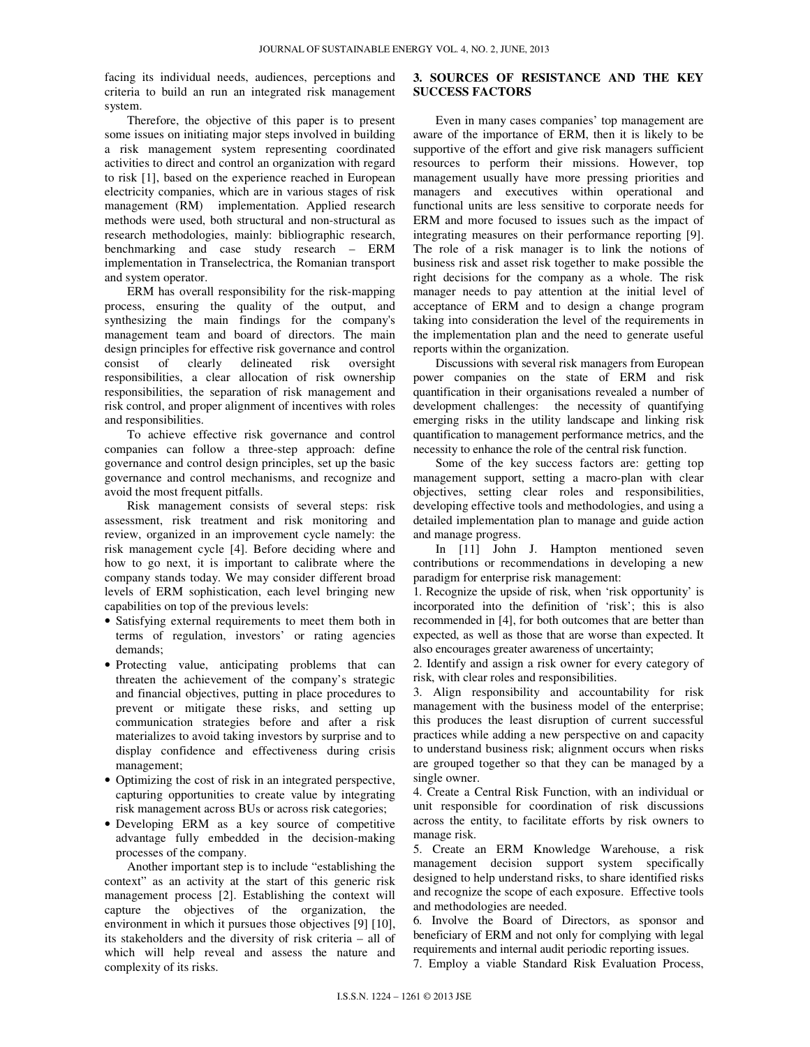facing its individual needs, audiences, perceptions and criteria to build an run an integrated risk management system.

Therefore, the objective of this paper is to present some issues on initiating major steps involved in building a risk management system representing coordinated activities to direct and control an organization with regard to risk [1], based on the experience reached in European electricity companies, which are in various stages of risk management (RM) implementation. Applied research methods were used, both structural and non-structural as research methodologies, mainly: bibliographic research, benchmarking and case study research – ERM implementation in Transelectrica, the Romanian transport and system operator.

ERM has overall responsibility for the risk-mapping process, ensuring the quality of the output, and synthesizing the main findings for the company's management team and board of directors. The main design principles for effective risk governance and control consist of clearly delineated risk oversight responsibilities, a clear allocation of risk ownership responsibilities, the separation of risk management and risk control, and proper alignment of incentives with roles and responsibilities.

To achieve effective risk governance and control companies can follow a three-step approach: define governance and control design principles, set up the basic governance and control mechanisms, and recognize and avoid the most frequent pitfalls.

Risk management consists of several steps: risk assessment, risk treatment and risk monitoring and review, organized in an improvement cycle namely: the risk management cycle [4]. Before deciding where and how to go next, it is important to calibrate where the company stands today. We may consider different broad levels of ERM sophistication, each level bringing new capabilities on top of the previous levels:

- Satisfying external requirements to meet them both in terms of regulation, investors' or rating agencies demands;
- Protecting value, anticipating problems that can threaten the achievement of the company's strategic and financial objectives, putting in place procedures to prevent or mitigate these risks, and setting up communication strategies before and after a risk materializes to avoid taking investors by surprise and to display confidence and effectiveness during crisis management;
- Optimizing the cost of risk in an integrated perspective, capturing opportunities to create value by integrating risk management across BUs or across risk categories;
- Developing ERM as a key source of competitive advantage fully embedded in the decision-making processes of the company.

Another important step is to include "establishing the context" as an activity at the start of this generic risk management process [2]. Establishing the context will capture the objectives of the organization, the environment in which it pursues those objectives [9] [10], its stakeholders and the diversity of risk criteria – all of which will help reveal and assess the nature and complexity of its risks.

# **3. SOURCES OF RESISTANCE AND THE KEY SUCCESS FACTORS**

Even in many cases companies' top management are aware of the importance of ERM, then it is likely to be supportive of the effort and give risk managers sufficient resources to perform their missions. However, top management usually have more pressing priorities and managers and executives within operational and functional units are less sensitive to corporate needs for ERM and more focused to issues such as the impact of integrating measures on their performance reporting [9]. The role of a risk manager is to link the notions of business risk and asset risk together to make possible the right decisions for the company as a whole. The risk manager needs to pay attention at the initial level of acceptance of ERM and to design a change program taking into consideration the level of the requirements in the implementation plan and the need to generate useful reports within the organization.

Discussions with several risk managers from European power companies on the state of ERM and risk quantification in their organisations revealed a number of development challenges: the necessity of quantifying emerging risks in the utility landscape and linking risk quantification to management performance metrics, and the necessity to enhance the role of the central risk function.

Some of the key success factors are: getting top management support, setting a macro-plan with clear objectives, setting clear roles and responsibilities, developing effective tools and methodologies, and using a detailed implementation plan to manage and guide action and manage progress.

In [11] John J. Hampton mentioned seven contributions or recommendations in developing a new paradigm for enterprise risk management:

1. Recognize the upside of risk, when 'risk opportunity' is incorporated into the definition of 'risk'; this is also recommended in [4], for both outcomes that are better than expected, as well as those that are worse than expected. It also encourages greater awareness of uncertainty;

2. Identify and assign a risk owner for every category of risk, with clear roles and responsibilities.

3. Align responsibility and accountability for risk management with the business model of the enterprise; this produces the least disruption of current successful practices while adding a new perspective on and capacity to understand business risk; alignment occurs when risks are grouped together so that they can be managed by a single owner.

4. Create a Central Risk Function, with an individual or unit responsible for coordination of risk discussions across the entity, to facilitate efforts by risk owners to manage risk.

5. Create an ERM Knowledge Warehouse, a risk management decision support system specifically designed to help understand risks, to share identified risks and recognize the scope of each exposure. Effective tools and methodologies are needed.

6. Involve the Board of Directors, as sponsor and beneficiary of ERM and not only for complying with legal requirements and internal audit periodic reporting issues.

7. Employ a viable Standard Risk Evaluation Process,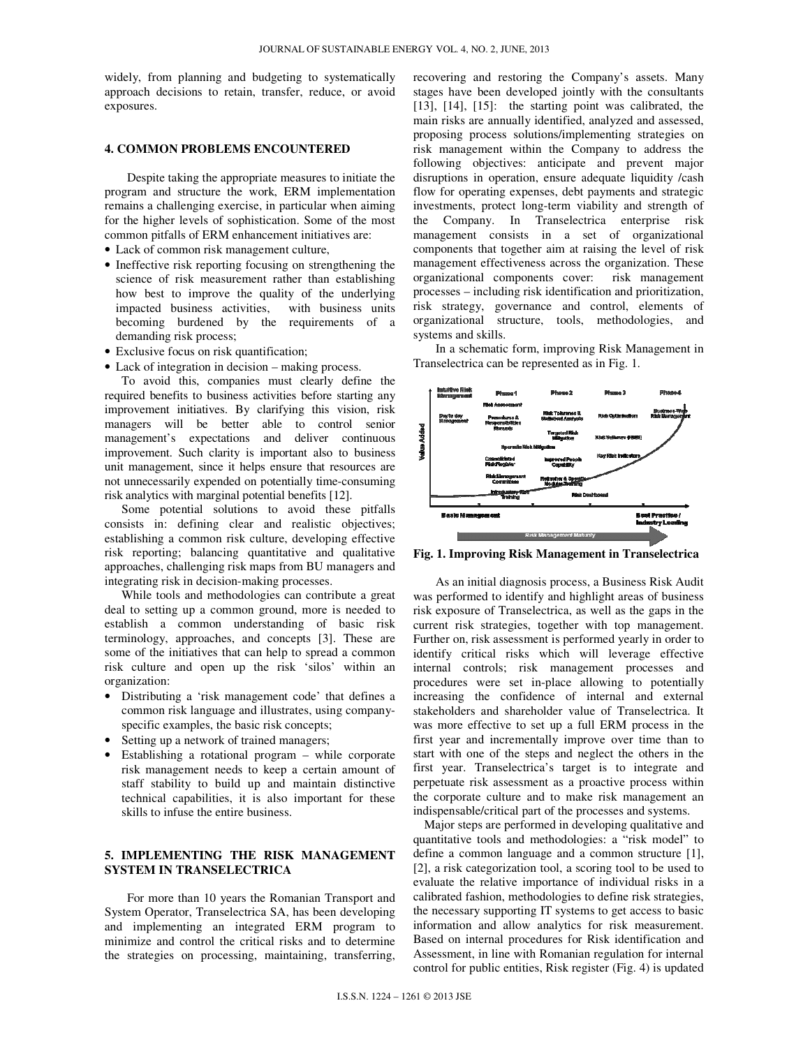widely, from planning and budgeting to systematically approach decisions to retain, transfer, reduce, or avoid exposures.

#### **4. COMMON PROBLEMS ENCOUNTERED**

Despite taking the appropriate measures to initiate the program and structure the work, ERM implementation remains a challenging exercise, in particular when aiming for the higher levels of sophistication. Some of the most common pitfalls of ERM enhancement initiatives are:

- Lack of common risk management culture,
- Ineffective risk reporting focusing on strengthening the science of risk measurement rather than establishing how best to improve the quality of the underlying impacted business activities, with business units becoming burdened by the requirements of a demanding risk process;
- Exclusive focus on risk quantification;
- Lack of integration in decision making process.

To avoid this, companies must clearly define the required benefits to business activities before starting any improvement initiatives. By clarifying this vision, risk managers will be better able to control senior management's expectations and deliver continuous improvement. Such clarity is important also to business unit management, since it helps ensure that resources are not unnecessarily expended on potentially time-consuming risk analytics with marginal potential benefits [12].

Some potential solutions to avoid these pitfalls consists in: defining clear and realistic objectives; establishing a common risk culture, developing effective risk reporting; balancing quantitative and qualitative approaches, challenging risk maps from BU managers and integrating risk in decision-making processes.

While tools and methodologies can contribute a great deal to setting up a common ground, more is needed to establish a common understanding of basic risk terminology, approaches, and concepts [3]. These are some of the initiatives that can help to spread a common risk culture and open up the risk 'silos' within an organization:

- Distributing a 'risk management code' that defines a common risk language and illustrates, using companyspecific examples, the basic risk concepts;
- Setting up a network of trained managers;
- Establishing a rotational program while corporate risk management needs to keep a certain amount of staff stability to build up and maintain distinctive technical capabilities, it is also important for these skills to infuse the entire business.

# **5. IMPLEMENTING THE RISK MANAGEMENT SYSTEM IN TRANSELECTRICA**

For more than 10 years the Romanian Transport and System Operator, Transelectrica SA, has been developing and implementing an integrated ERM program to minimize and control the critical risks and to determine the strategies on processing, maintaining, transferring,

recovering and restoring the Company's assets. Many stages have been developed jointly with the consultants [13], [14], [15]: the starting point was calibrated, the main risks are annually identified, analyzed and assessed, proposing process solutions/implementing strategies on risk management within the Company to address the following objectives: anticipate and prevent major disruptions in operation, ensure adequate liquidity /cash flow for operating expenses, debt payments and strategic investments, protect long-term viability and strength of the Company. In Transelectrica enterprise risk management consists in a set of organizational components that together aim at raising the level of risk management effectiveness across the organization. These organizational components cover: risk management processes – including risk identification and prioritization, risk strategy, governance and control, elements of organizational structure, tools, methodologies, and systems and skills.

In a schematic form, improving Risk Management in Transelectrica can be represented as in Fig. 1.



**Fig. 1. Improving Risk Management in Transelectrica**

As an initial diagnosis process, a Business Risk Audit was performed to identify and highlight areas of business risk exposure of Transelectrica, as well as the gaps in the current risk strategies, together with top management. Further on, risk assessment is performed yearly in order to identify critical risks which will leverage effective internal controls; risk management processes and procedures were set in-place allowing to potentially increasing the confidence of internal and external stakeholders and shareholder value of Transelectrica. It was more effective to set up a full ERM process in the first year and incrementally improve over time than to start with one of the steps and neglect the others in the first year. Transelectrica's target is to integrate and perpetuate risk assessment as a proactive process within the corporate culture and to make risk management an indispensable/critical part of the processes and systems.

Major steps are performed in developing qualitative and quantitative tools and methodologies: a "risk model" to define a common language and a common structure [1], [2], a risk categorization tool, a scoring tool to be used to evaluate the relative importance of individual risks in a calibrated fashion, methodologies to define risk strategies, the necessary supporting IT systems to get access to basic information and allow analytics for risk measurement. Based on internal procedures for Risk identification and Assessment, in line with Romanian regulation for internal control for public entities, Risk register (Fig. 4) is updated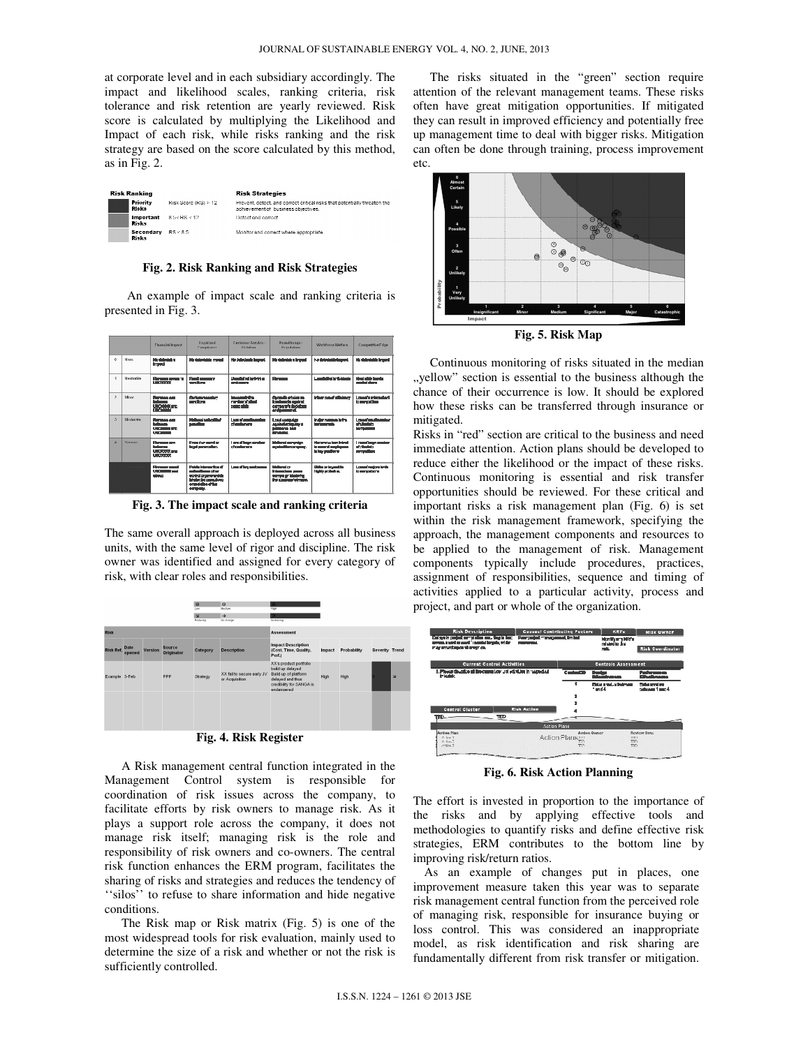at corporate level and in each subsidiary accordingly. The impact and likelihood scales, ranking criteria, risk tolerance and risk retention are yearly reviewed. Risk score is calculated by multiplying the Likelihood and Impact of each risk, while risks ranking and the risk strategy are based on the score calculated by this method, as in Fig. 2.

| Risk Ranking              |                      | <b>Risk Strategies</b>                                                                                           |  |  |  |
|---------------------------|----------------------|------------------------------------------------------------------------------------------------------------------|--|--|--|
| Priority<br>Risks         | Risk Score (RS) > 12 | Prevent, detect, and correct critical risks that potentially threaten the<br>achievement of business objectives. |  |  |  |
| Important<br><b>Risks</b> | 8.5< RS < 12         | Detect and correct                                                                                               |  |  |  |
| Secondary<br>Risks        | RS < 8.5             | Monitor and correct where appropriate.                                                                           |  |  |  |

**Fig. 2. Risk Ranking and Risk Strategies** 

An example of impact scale and ranking criteria is presented in Fig. 3.

|                |                | <b>Financial Impact</b>                                                 | <b>Local</b> and<br>Compliance                                                                                               | Customer Sorvice /<br><b>Dubation</b>                   | Brandlinage /<br>Reputation                                                                      | Warkforce Welfare                                                       | Competitive Edge                                          |
|----------------|----------------|-------------------------------------------------------------------------|------------------------------------------------------------------------------------------------------------------------------|---------------------------------------------------------|--------------------------------------------------------------------------------------------------|-------------------------------------------------------------------------|-----------------------------------------------------------|
| n.             | Nene           | No delected a<br><b>Impact</b>                                          | Nedelectricia mondi                                                                                                          | No detects de impact                                    | his delacteb a france:                                                                           | ha daisciaide impact                                                    | Ne detectable impact                                      |
| $\overline{1}$ | Neafoible      | Весник пени п<br><b>LISTAWAY</b>                                        | <b>Resultments</b><br>concions.                                                                                              | Unsulated infinition<br><b>CURRENTES</b>                | <b>Reported</b>                                                                                  | <b>Laundie Geriffert Feldmale</b>                                       | Negl plike tranks<br>meterishee                           |
| 2              | Minor          | <b>Floresce cap</b><br><b>Brigador</b><br>LIGIDIOOCC and<br>LIFEYEVON   | Seriousmeaster:<br>sanctions                                                                                                 | <b>Increase Infim</b><br>remove of Sized<br>comp ainist | Sherodic michelen<br><b>bealmede against</b><br>e com con mi la diac isticuza<br>and assessment. | Minor essatematempo                                                     | Losanfa minorcient<br>to competitors                      |
| $\gamma$       | Moderate       | <b>Recognized</b> pres-<br><b>Inchester</b><br>usmoots are<br>LISTOCOCK | Mellonel authorities!<br><b>BENGER</b>                                                                                       | Locardonalizaçãos:<br>of qualiformies.                  | Local concriter<br>escinate months.<br><b>MERCING ROO</b><br><b>Britisms</b>                     | Make accessibility<br>turneyernah                                       | LowerPacea Loundary<br>of slights to<br><b>COMMERCIAL</b> |
| $\overline{A}$ | <b>Sortout</b> | <b>Florence con</b><br><b>Release</b><br>Lightened and<br>Lightener     | <b>Function sensite</b><br>la sal caracterism.                                                                               | Logical barriers in miles<br>of mathematic              | Matienal certainles<br>acainstite company.                                                       | idente total basilinica di<br>to asserti employees.<br>in law positions | I need became they<br>of Hankers<br>pomentions            |
|                |                | <b>Revenue crest</b><br><b>LIGHTEN COMPANY</b><br>phone.                | Pablic Intervention of<br>pubertioner diese<br>acabulusse so which<br>hindordia consellingo<br>procedures of the<br>corpers. | Look of him contempore                                  | <b>Mellenslich</b><br>Informations assets<br>songser blodefer<br>the company of maps.            | <b>Cirile or houself in</b><br>Nativersidate.                           | <b>LosacTatelore larts</b><br>to account area             |

**Fig. 3. The impact scale and ranking criteria** 

The same overall approach is deployed across all business units, with the same level of rigor and discipline. The risk owner was identified and assigned for every category of risk, with clear roles and responsibilities.



A Risk management central function integrated in the Management Control system is responsible for coordination of risk issues across the company, to facilitate efforts by risk owners to manage risk. As it plays a support role across the company, it does not manage risk itself; managing risk is the role and responsibility of risk owners and co-owners. The central risk function enhances the ERM program, facilitates the sharing of risks and strategies and reduces the tendency of ''silos'' to refuse to share information and hide negative conditions.

The Risk map or Risk matrix (Fig. 5) is one of the most widespread tools for risk evaluation, mainly used to determine the size of a risk and whether or not the risk is sufficiently controlled.

The risks situated in the "green" section require attention of the relevant management teams. These risks often have great mitigation opportunities. If mitigated they can result in improved efficiency and potentially free up management time to deal with bigger risks. Mitigation can often be done through training, process improvement etc.



**Fig. 5. Risk Map** 

Continuous monitoring of risks situated in the median "yellow" section is essential to the business although the chance of their occurrence is low. It should be explored how these risks can be transferred through insurance or mitigated.

Risks in "red" section are critical to the business and need immediate attention. Action plans should be developed to reduce either the likelihood or the impact of these risks. Continuous monitoring is essential and risk transfer opportunities should be reviewed. For these critical and important risks a risk management plan (Fig. 6) is set within the risk management framework, specifying the approach, the management components and resources to be applied to the management of risk. Management components typically include procedures, practices, assignment of responsibilities, sequence and timing of activities applied to a particular activity, process and project, and part or whole of the organization.



**Fig. 6. Risk Action Planning** 

The effort is invested in proportion to the importance of the risks and by applying effective tools and methodologies to quantify risks and define effective risk strategies, ERM contributes to the bottom line by improving risk/return ratios.

As an example of changes put in places, one improvement measure taken this year was to separate risk management central function from the perceived role of managing risk, responsible for insurance buying or loss control. This was considered an inappropriate model, as risk identification and risk sharing are fundamentally different from risk transfer or mitigation.